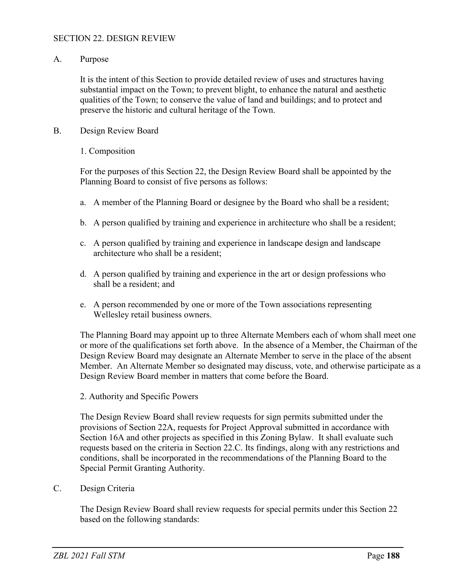## SECTION 22. DESIGN REVIEW

A. Purpose

It is the intent of this Section to provide detailed review of uses and structures having substantial impact on the Town; to prevent blight, to enhance the natural and aesthetic qualities of the Town; to conserve the value of land and buildings; and to protect and preserve the historic and cultural heritage of the Town.

B. Design Review Board

## 1. Composition

For the purposes of this Section 22, the Design Review Board shall be appointed by the Planning Board to consist of five persons as follows:

- a. A member of the Planning Board or designee by the Board who shall be a resident;
- b. A person qualified by training and experience in architecture who shall be a resident;
- c. A person qualified by training and experience in landscape design and landscape architecture who shall be a resident;
- d. A person qualified by training and experience in the art or design professions who shall be a resident; and
- e. A person recommended by one or more of the Town associations representing Wellesley retail business owners.

The Planning Board may appoint up to three Alternate Members each of whom shall meet one or more of the qualifications set forth above. In the absence of a Member, the Chairman of the Design Review Board may designate an Alternate Member to serve in the place of the absent Member. An Alternate Member so designated may discuss, vote, and otherwise participate as a Design Review Board member in matters that come before the Board.

2. Authority and Specific Powers

The Design Review Board shall review requests for sign permits submitted under the provisions of Section 22A, requests for Project Approval submitted in accordance with Section 16A and other projects as specified in this Zoning Bylaw. It shall evaluate such requests based on the criteria in Section 22.C. Its findings, along with any restrictions and conditions, shall be incorporated in the recommendations of the Planning Board to the Special Permit Granting Authority.

C. Design Criteria

The Design Review Board shall review requests for special permits under this Section 22 based on the following standards: